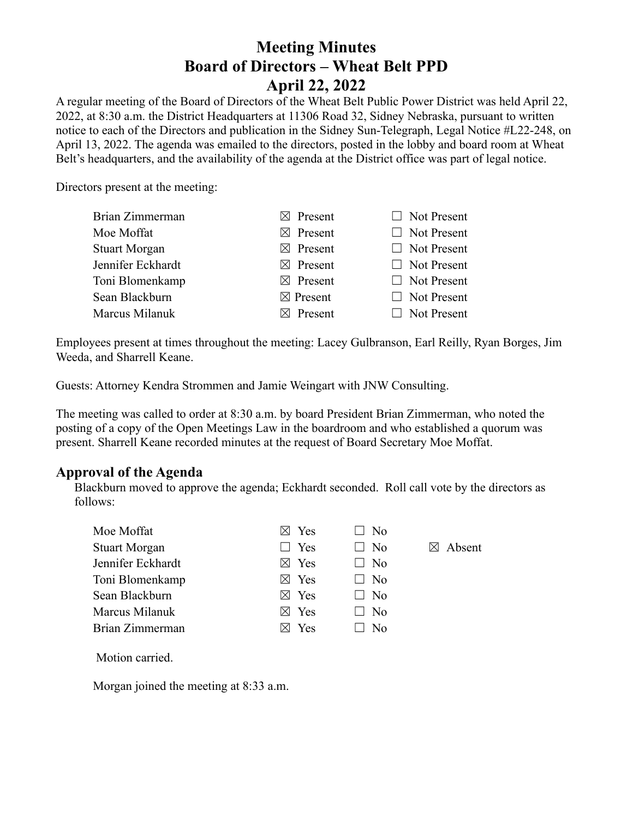# **Meeting Minutes Board of Directors – Wheat Belt PPD April 22, 2022**

A regular meeting of the Board of Directors of the Wheat Belt Public Power District was held April 22, 2022, at 8:30 a.m. the District Headquarters at 11306 Road 32, Sidney Nebraska, pursuant to written notice to each of the Directors and publication in the Sidney Sun-Telegraph, Legal Notice #L22-248, on April 13, 2022. The agenda was emailed to the directors, posted in the lobby and board room at Wheat Belt's headquarters, and the availability of the agenda at the District office was part of legal notice.

Directors present at the meeting:

| Brian Zimmerman      | $\boxtimes$ Present | $\Box$ Not Present |
|----------------------|---------------------|--------------------|
| Moe Moffat           | $\boxtimes$ Present | $\Box$ Not Present |
| <b>Stuart Morgan</b> | $\boxtimes$ Present | $\Box$ Not Present |
| Jennifer Eckhardt    | $\boxtimes$ Present | $\Box$ Not Present |
| Toni Blomenkamp      | $\boxtimes$ Present | $\Box$ Not Present |
| Sean Blackburn       | $\boxtimes$ Present | $\Box$ Not Present |
| Marcus Milanuk       | $\boxtimes$ Present | $\Box$ Not Present |
|                      |                     |                    |

Employees present at times throughout the meeting: Lacey Gulbranson, Earl Reilly, Ryan Borges, Jim Weeda, and Sharrell Keane.

Guests: Attorney Kendra Strommen and Jamie Weingart with JNW Consulting.

The meeting was called to order at 8:30 a.m. by board President Brian Zimmerman, who noted the posting of a copy of the Open Meetings Law in the boardroom and who established a quorum was present. Sharrell Keane recorded minutes at the request of Board Secretary Moe Moffat.

## **Approval of the Agenda**

Blackburn moved to approve the agenda; Eckhardt seconded. Roll call vote by the directors as follows:

| Moe Moffat           | $\boxtimes$ Yes | $\Box$ No      |                    |
|----------------------|-----------------|----------------|--------------------|
| <b>Stuart Morgan</b> | $\Box$ Yes      | $\Box$ No      | $\boxtimes$ Absent |
| Jennifer Eckhardt    | $\boxtimes$ Yes | $\Box$ No      |                    |
| Toni Blomenkamp      | $\boxtimes$ Yes | $\Box$ No      |                    |
| Sean Blackburn       | $\boxtimes$ Yes | $\Box$ No      |                    |
| Marcus Milanuk       | $\boxtimes$ Yes | $\Box$ No      |                    |
| Brian Zimmerman      | Yes             | N <sub>0</sub> |                    |

Motion carried.

Morgan joined the meeting at 8:33 a.m.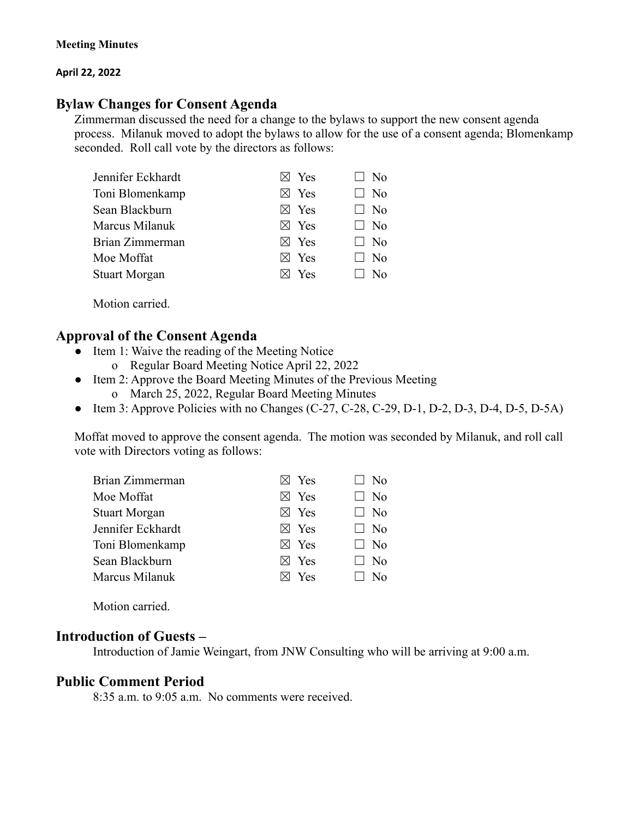#### **April 22, 2022**

## **Bylaw Changes for Consent Agenda**

Zimmerman discussed the need for a change to the bylaws to support the new consent agenda process. Milanuk moved to adopt the bylaws to allow for the use of a consent agenda; Blomenkamp seconded. Roll call vote by the directors as follows:

| Jennifer Eckhardt    | $\boxtimes$ Yes | $\Box$ No      |
|----------------------|-----------------|----------------|
| Toni Blomenkamp      | $\boxtimes$ Yes | $\Box$ No      |
| Sean Blackburn       | $\boxtimes$ Yes | $\Box$ No      |
| Marcus Milanuk       | $\boxtimes$ Yes | $\Box$ No      |
| Brian Zimmerman      | $\boxtimes$ Yes | $\Box$ No      |
| Moe Moffat           | $\boxtimes$ Yes | $\Box$ No      |
| <b>Stuart Morgan</b> | $\boxtimes$ Yes | N <sub>0</sub> |
|                      |                 |                |

Motion carried.

### **Approval of the Consent Agenda**

- Item 1: Waive the reading of the Meeting Notice
	- o Regular Board Meeting Notice April 22, 2022
- Item 2: Approve the Board Meeting Minutes of the Previous Meeting
	- o March 25, 2022, Regular Board Meeting Minutes
- Item 3: Approve Policies with no Changes  $(C-27, C-28, C-29, D-1, D-2, D-3, D-4, D-5, D-5A)$

Moffat moved to approve the consent agenda. The motion was seconded by Milanuk, and roll call vote with Directors voting as follows:

| Brian Zimmerman      | $\boxtimes$ Yes | $\Box$ No      |
|----------------------|-----------------|----------------|
| Moe Moffat           | $\boxtimes$ Yes | N <sub>0</sub> |
| <b>Stuart Morgan</b> | $\boxtimes$ Yes | $\Box$ No      |
| Jennifer Eckhardt    | $\boxtimes$ Yes | $\Box$ No      |
| Toni Blomenkamp      | $\boxtimes$ Yes | $\Box$ No      |
| Sean Blackburn       | $\boxtimes$ Yes | $\Box$ No      |
| Marcus Milanuk       | $\boxtimes$ Yes | $\Box$ No      |
|                      |                 |                |

Motion carried.

### **Introduction of Guests –**

Introduction of Jamie Weingart, from JNW Consulting who will be arriving at 9:00 a.m.

#### **Public Comment Period**

8:35 a.m. to 9:05 a.m. No comments were received.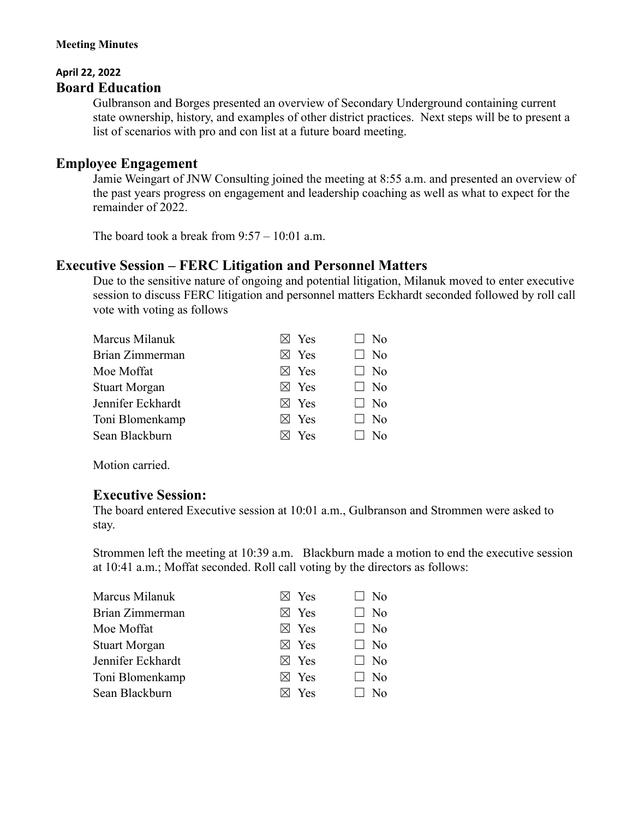#### **Meeting Minutes**

### **April 22, 2022 Board Education**

Gulbranson and Borges presented an overview of Secondary Underground containing current state ownership, history, and examples of other district practices. Next steps will be to present a list of scenarios with pro and con list at a future board meeting.

## **Employee Engagement**

Jamie Weingart of JNW Consulting joined the meeting at 8:55 a.m. and presented an overview of the past years progress on engagement and leadership coaching as well as what to expect for the remainder of 2022.

The board took a break from  $9:57 - 10:01$  a.m.

## **Executive Session – FERC Litigation and Personnel Matters**

Due to the sensitive nature of ongoing and potential litigation, Milanuk moved to enter executive session to discuss FERC litigation and personnel matters Eckhardt seconded followed by roll call vote with voting as follows

|  |                                                                                                                                   | $\Box$ No    |
|--|-----------------------------------------------------------------------------------------------------------------------------------|--------------|
|  |                                                                                                                                   | $\Box$ No    |
|  |                                                                                                                                   | $\Box$ No    |
|  |                                                                                                                                   | $\Box$ No    |
|  |                                                                                                                                   | $\Box$ No    |
|  |                                                                                                                                   | $\Box$ No    |
|  |                                                                                                                                   | $N_{\Omega}$ |
|  | $\boxtimes$ Yes<br>$\boxtimes$ Yes<br>$\boxtimes$ Yes<br>$\boxtimes$ Yes<br>$\boxtimes$ Yes<br>$\boxtimes$ Yes<br>$\boxtimes$ Yes |              |

Motion carried.

### **Executive Session:**

The board entered Executive session at 10:01 a.m., Gulbranson and Strommen were asked to stay.

Strommen left the meeting at 10:39 a.m. Blackburn made a motion to end the executive session at 10:41 a.m.; Moffat seconded. Roll call voting by the directors as follows:

| Marcus Milanuk       | $\boxtimes$ Yes | $\Box$ No |
|----------------------|-----------------|-----------|
| Brian Zimmerman      | $\boxtimes$ Yes | $\Box$ No |
| Moe Moffat           | $\boxtimes$ Yes | $\Box$ No |
| <b>Stuart Morgan</b> | $\boxtimes$ Yes | $\Box$ No |
| Jennifer Eckhardt    | $\boxtimes$ Yes | $\Box$ No |
| Toni Blomenkamp      | $\boxtimes$ Yes | $\Box$ No |
| Sean Blackburn       | Yes             | No        |
|                      |                 |           |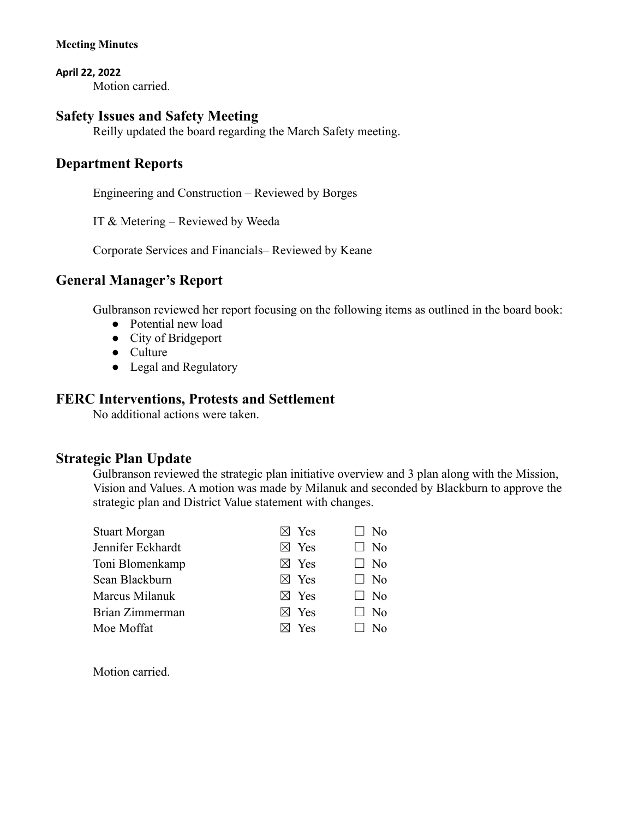**April 22, 2022** Motion carried.

## **Safety Issues and Safety Meeting**

Reilly updated the board regarding the March Safety meeting.

## **Department Reports**

Engineering and Construction – Reviewed by Borges

IT & Metering – Reviewed by Weeda

Corporate Services and Financials– Reviewed by Keane

## **General Manager's Report**

Gulbranson reviewed her report focusing on the following items as outlined in the board book:

- Potential new load
- City of Bridgeport
- Culture
- Legal and Regulatory

## **FERC Interventions, Protests and Settlement**

No additional actions were taken.

## **Strategic Plan Update**

Gulbranson reviewed the strategic plan initiative overview and 3 plan along with the Mission, Vision and Values. A motion was made by Milanuk and seconded by Blackburn to approve the strategic plan and District Value statement with changes.

| <b>Stuart Morgan</b> | $\boxtimes$ Yes | $\Box$ No |
|----------------------|-----------------|-----------|
| Jennifer Eckhardt    | $\boxtimes$ Yes | $\Box$ No |
| Toni Blomenkamp      | $\boxtimes$ Yes | $\Box$ No |
| Sean Blackburn       | $\boxtimes$ Yes | $\Box$ No |
| Marcus Milanuk       | $\boxtimes$ Yes | $\Box$ No |
| Brian Zimmerman      | Yes             | No.       |
| Moe Moffat           | Yes             |           |

Motion carried.